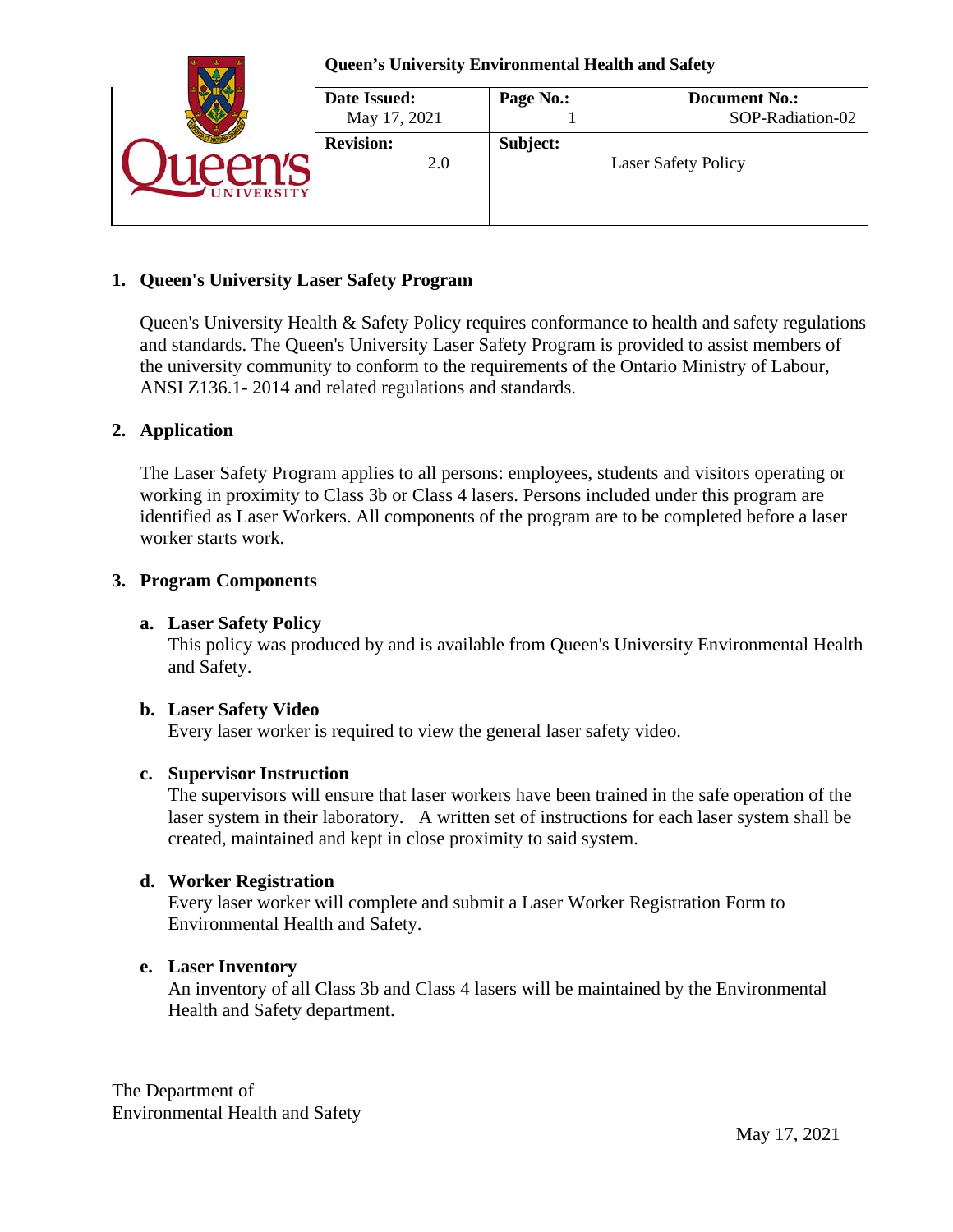|                | <b>Queen's University Environmental Health and Safety</b> |           |                                          |  |  |
|----------------|-----------------------------------------------------------|-----------|------------------------------------------|--|--|
|                | Date Issued:<br>May 17, 2021                              | Page No.: | <b>Document No.:</b><br>SOP-Radiation-02 |  |  |
| <b>VERSITY</b> | <b>Revision:</b><br>2.0                                   | Subject:  | <b>Laser Safety Policy</b>               |  |  |

### **1. Queen's University Laser Safety Program**

Queen's University Health & Safety Policy requires conformance to health and safety regulations and standards. The Queen's University Laser Safety Program is provided to assist members of the university community to conform to the requirements of the Ontario Ministry of Labour, ANSI Z136.1- 2014 and related regulations and standards.

### **2. Application**

The Laser Safety Program applies to all persons: employees, students and visitors operating or working in proximity to Class 3b or Class 4 lasers. Persons included under this program are identified as Laser Workers. All components of the program are to be completed before a laser worker starts work.

### **3. Program Components**

### **a. Laser Safety Policy**

This policy was produced by and is available from Queen's University Environmental Health and Safety.

### **b. Laser Safety Video**

Every laser worker is required to view the general laser safety video.

### **c. Supervisor Instruction**

The supervisors will ensure that laser workers have been trained in the safe operation of the laser system in their laboratory. A written set of instructions for each laser system shall be created, maintained and kept in close proximity to said system.

### **d. Worker Registration**

Every laser worker will complete and submit a Laser Worker Registration Form to Environmental Health and Safety.

### **e. Laser Inventory**

An inventory of all Class 3b and Class 4 lasers will be maintained by the Environmental Health and Safety department.

The Department of Environmental Health and Safety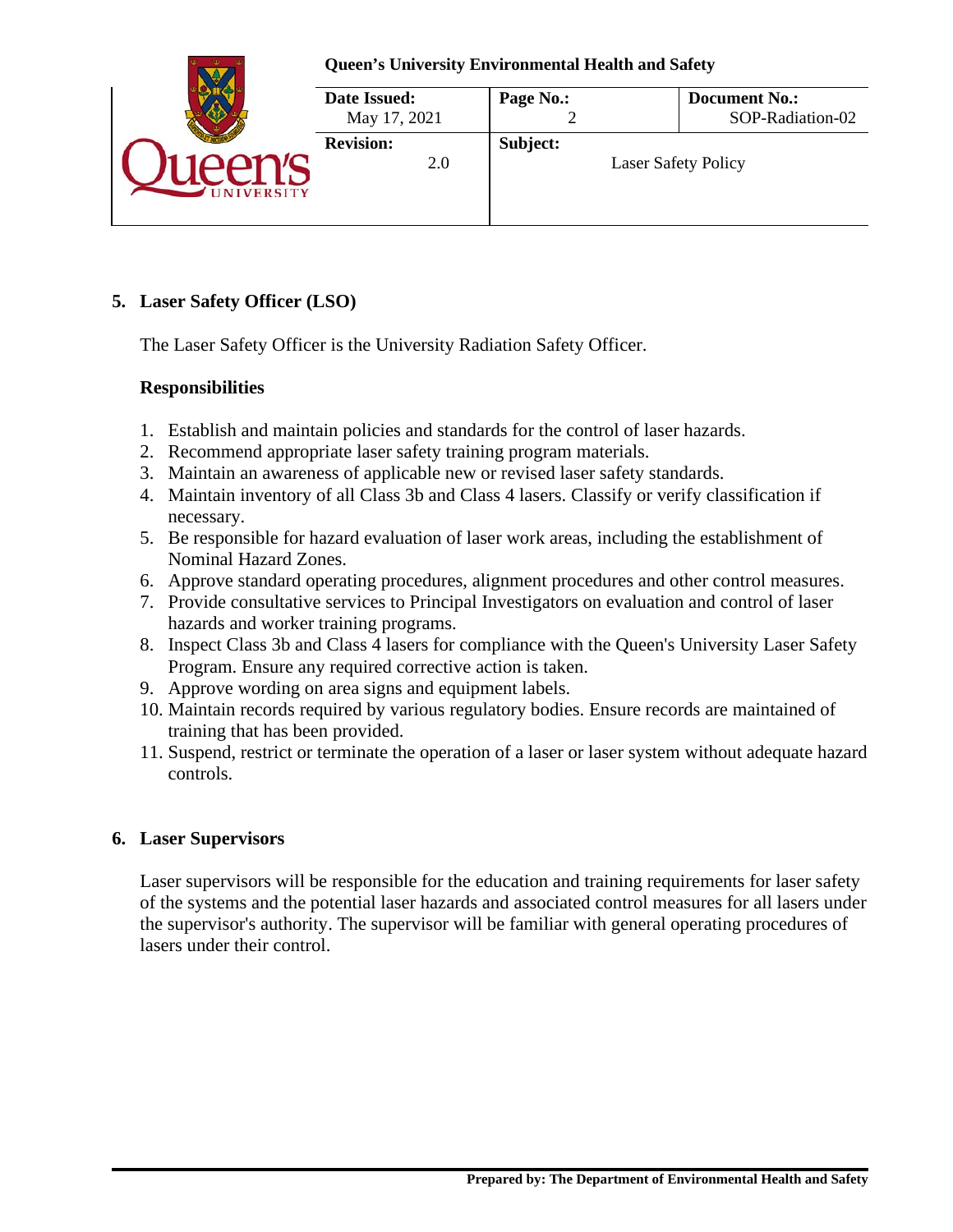

# **5. Laser Safety Officer (LSO)**

The Laser Safety Officer is the University Radiation Safety Officer.

# **Responsibilities**

- 1. Establish and maintain policies and standards for the control of laser hazards.
- 2. Recommend appropriate laser safety training program materials.
- 3. Maintain an awareness of applicable new or revised laser safety standards.
- 4. Maintain inventory of all Class 3b and Class 4 lasers. Classify or verify classification if necessary.
- 5. Be responsible for hazard evaluation of laser work areas, including the establishment of Nominal Hazard Zones.
- 6. Approve standard operating procedures, alignment procedures and other control measures.
- 7. Provide consultative services to Principal Investigators on evaluation and control of laser hazards and worker training programs.
- 8. Inspect Class 3b and Class 4 lasers for compliance with the Queen's University Laser Safety Program. Ensure any required corrective action is taken.
- 9. Approve wording on area signs and equipment labels.
- 10. Maintain records required by various regulatory bodies. Ensure records are maintained of training that has been provided.
- 11. Suspend, restrict or terminate the operation of a laser or laser system without adequate hazard controls.

# **6. Laser Supervisors**

Laser supervisors will be responsible for the education and training requirements for laser safety of the systems and the potential laser hazards and associated control measures for all lasers under the supervisor's authority. The supervisor will be familiar with general operating procedures of lasers under their control.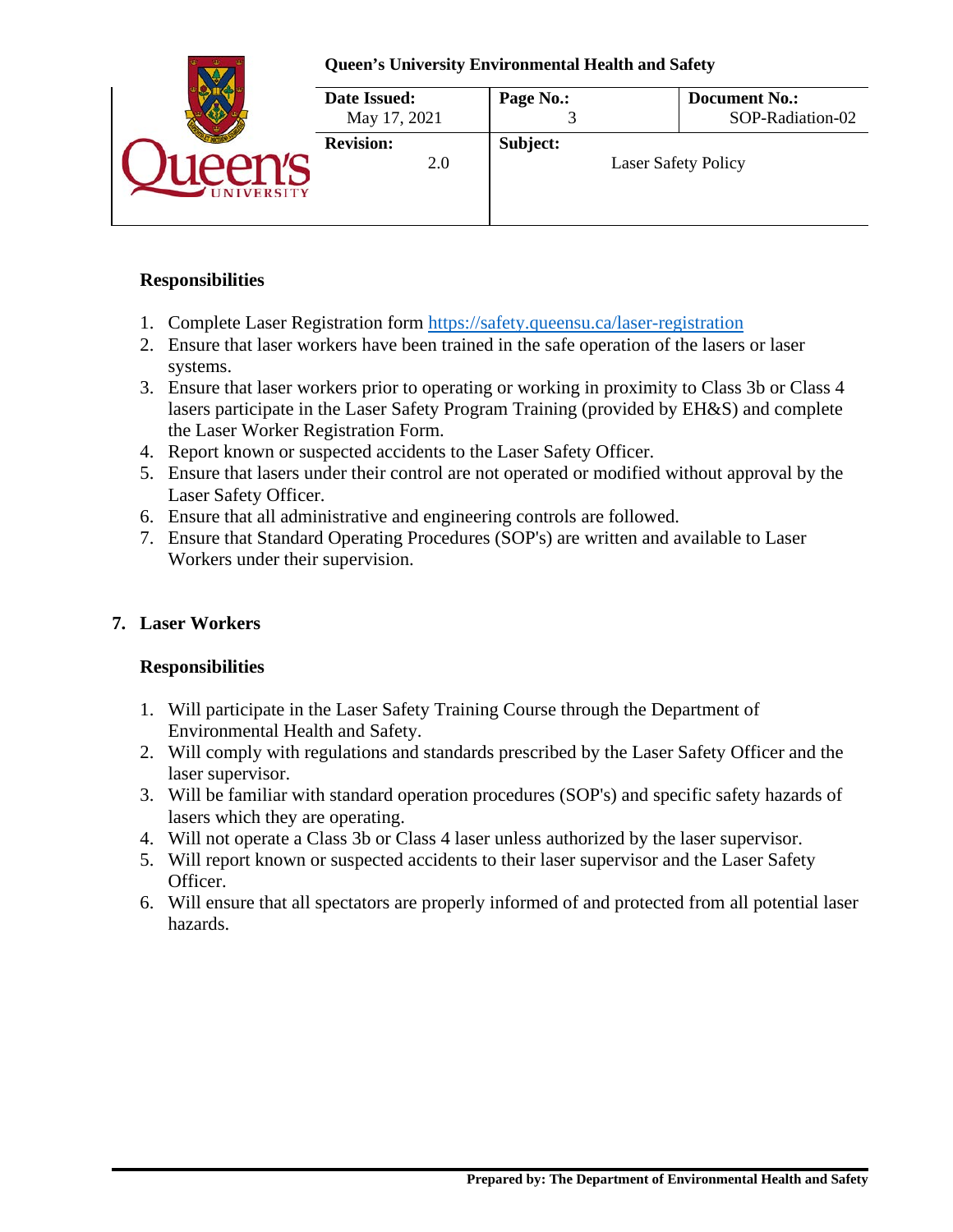

# **Responsibilities**

- 1. Complete Laser Registration form<https://safety.queensu.ca/laser-registration>
- 2. Ensure that laser workers have been trained in the safe operation of the lasers or laser systems.
- 3. Ensure that laser workers prior to operating or working in proximity to Class 3b or Class 4 lasers participate in the Laser Safety Program Training (provided by EH&S) and complete the Laser Worker Registration Form.
- 4. Report known or suspected accidents to the Laser Safety Officer.
- 5. Ensure that lasers under their control are not operated or modified without approval by the Laser Safety Officer.
- 6. Ensure that all administrative and engineering controls are followed.
- 7. Ensure that Standard Operating Procedures (SOP's) are written and available to Laser Workers under their supervision.

# **7. Laser Workers**

# **Responsibilities**

- 1. Will participate in the Laser Safety Training Course through the Department of Environmental Health and Safety.
- 2. Will comply with regulations and standards prescribed by the Laser Safety Officer and the laser supervisor.
- 3. Will be familiar with standard operation procedures (SOP's) and specific safety hazards of lasers which they are operating.
- 4. Will not operate a Class 3b or Class 4 laser unless authorized by the laser supervisor.
- 5. Will report known or suspected accidents to their laser supervisor and the Laser Safety Officer.
- 6. Will ensure that all spectators are properly informed of and protected from all potential laser hazards.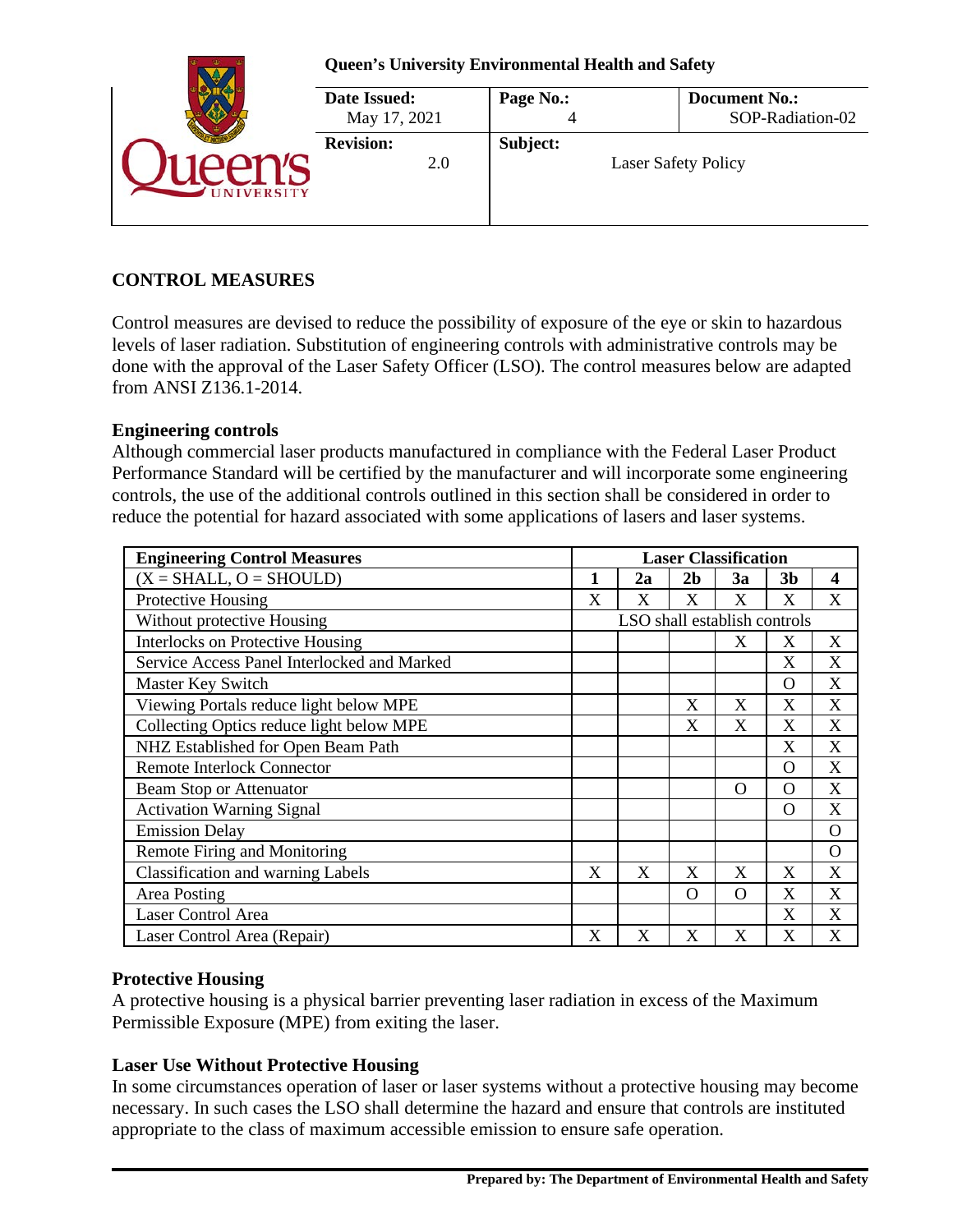

# **CONTROL MEASURES**

Control measures are devised to reduce the possibility of exposure of the eye or skin to hazardous levels of laser radiation. Substitution of engineering controls with administrative controls may be done with the approval of the Laser Safety Officer (LSO). The control measures below are adapted from ANSI Z136.1-2014.

### **Engineering controls**

Although commercial laser products manufactured in compliance with the Federal Laser Product Performance Standard will be certified by the manufacturer and will incorporate some engineering controls, the use of the additional controls outlined in this section shall be considered in order to reduce the potential for hazard associated with some applications of lasers and laser systems.

| <b>Engineering Control Measures</b><br><b>Laser Classification</b> |   |                              |                |          |                |                  |
|--------------------------------------------------------------------|---|------------------------------|----------------|----------|----------------|------------------|
| $(X = SHALL, O = SHOULD)$                                          |   | 2a                           | 2 <sub>b</sub> | 3a       | 3 <sub>b</sub> | $\boldsymbol{4}$ |
| Protective Housing                                                 | X | X                            | X              | X        | X              | X                |
| Without protective Housing                                         |   | LSO shall establish controls |                |          |                |                  |
| <b>Interlocks on Protective Housing</b>                            |   |                              |                | X        | X              | X                |
| Service Access Panel Interlocked and Marked                        |   |                              |                |          | X              | X                |
| Master Key Switch                                                  |   |                              |                |          | $\Omega$       | X                |
| Viewing Portals reduce light below MPE                             |   |                              | X              | X        | X              | X                |
| Collecting Optics reduce light below MPE                           |   |                              | X              | X        | X              | X                |
| NHZ Established for Open Beam Path                                 |   |                              |                |          | X              | X                |
| <b>Remote Interlock Connector</b>                                  |   |                              |                |          | O              | X                |
| <b>Beam Stop or Attenuator</b>                                     |   |                              |                | $\Omega$ | O              | X                |
| <b>Activation Warning Signal</b>                                   |   |                              |                |          | O              | X                |
| <b>Emission Delay</b>                                              |   |                              |                |          |                | $\Omega$         |
| Remote Firing and Monitoring                                       |   |                              |                |          |                | $\Omega$         |
| <b>Classification and warning Labels</b>                           | X | X                            | X              | X        | X              | X                |
| Area Posting                                                       |   |                              | $\Omega$       | $\Omega$ | X              | X                |
| Laser Control Area                                                 |   |                              |                |          | X              | X                |
| Laser Control Area (Repair)                                        | X | X                            | X              | X        | X              | X                |

### **Protective Housing**

A protective housing is a physical barrier preventing laser radiation in excess of the Maximum Permissible Exposure (MPE) from exiting the laser.

### **Laser Use Without Protective Housing**

In some circumstances operation of laser or laser systems without a protective housing may become necessary. In such cases the LSO shall determine the hazard and ensure that controls are instituted appropriate to the class of maximum accessible emission to ensure safe operation.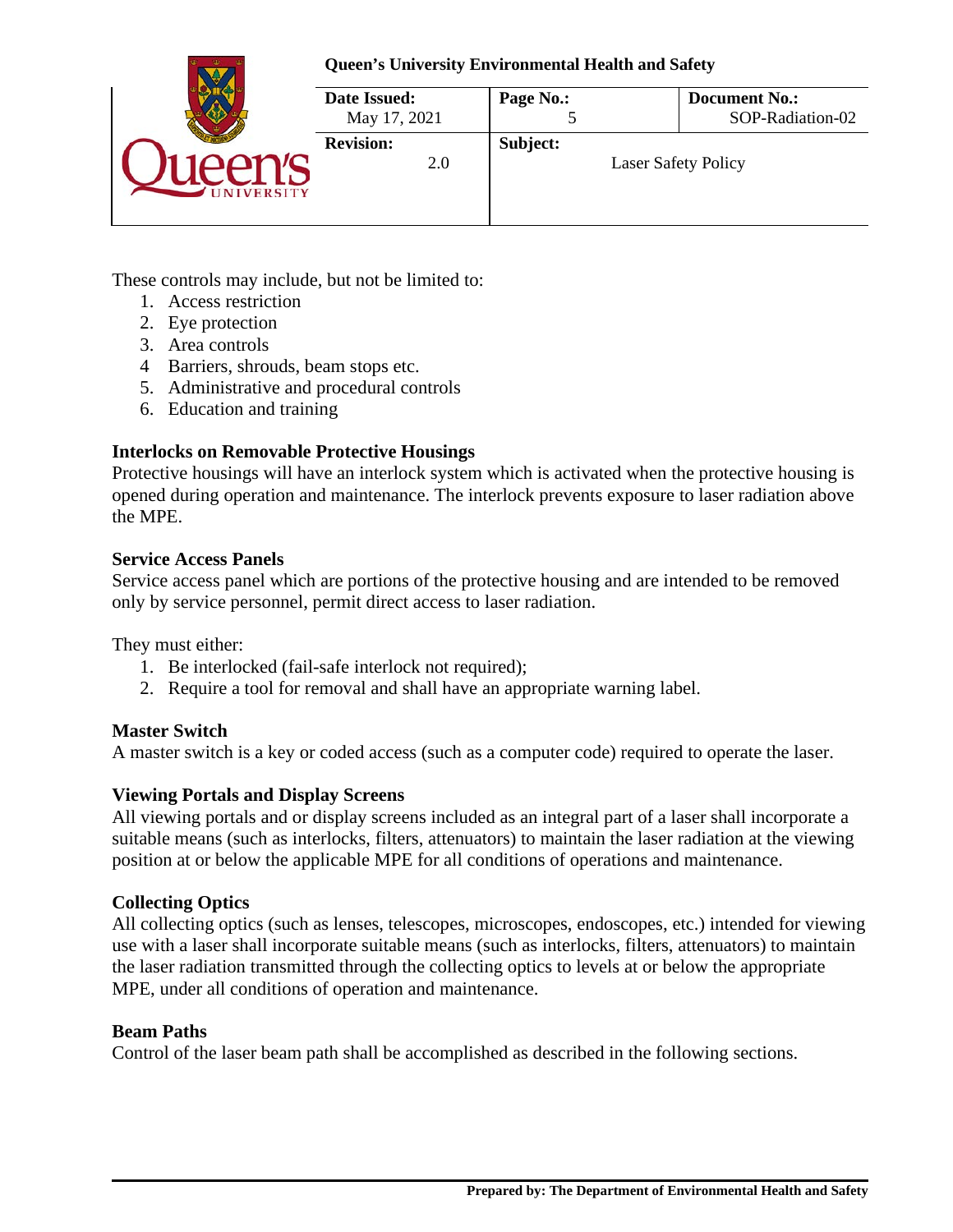### **Queen's University Environmental Health and Safety**



These controls may include, but not be limited to:

- 1. Access restriction
- 2. Eye protection
- 3. Area controls
- 4 Barriers, shrouds, beam stops etc.
- 5. Administrative and procedural controls
- 6. Education and training

# **Interlocks on Removable Protective Housings**

Protective housings will have an interlock system which is activated when the protective housing is opened during operation and maintenance. The interlock prevents exposure to laser radiation above the MPE.

### **Service Access Panels**

Service access panel which are portions of the protective housing and are intended to be removed only by service personnel, permit direct access to laser radiation.

They must either:

- 1. Be interlocked (fail-safe interlock not required);
- 2. Require a tool for removal and shall have an appropriate warning label.

# **Master Switch**

A master switch is a key or coded access (such as a computer code) required to operate the laser.

# **Viewing Portals and Display Screens**

All viewing portals and or display screens included as an integral part of a laser shall incorporate a suitable means (such as interlocks, filters, attenuators) to maintain the laser radiation at the viewing position at or below the applicable MPE for all conditions of operations and maintenance.

# **Collecting Optics**

All collecting optics (such as lenses, telescopes, microscopes, endoscopes, etc.) intended for viewing use with a laser shall incorporate suitable means (such as interlocks, filters, attenuators) to maintain the laser radiation transmitted through the collecting optics to levels at or below the appropriate MPE, under all conditions of operation and maintenance.

# **Beam Paths**

Control of the laser beam path shall be accomplished as described in the following sections.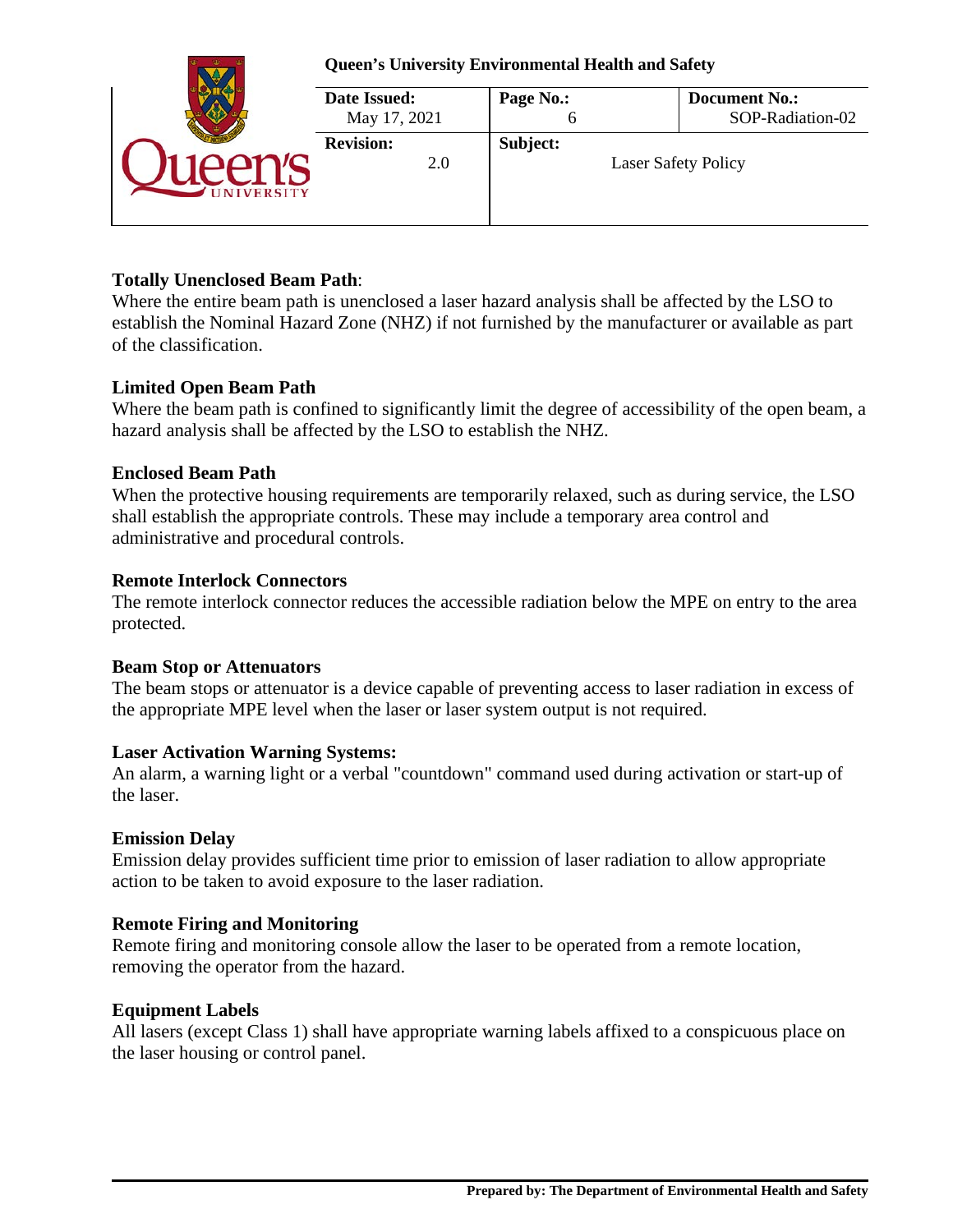| <b>Queen's University Environmental Health and Safety</b> |                |                                          |  |  |
|-----------------------------------------------------------|----------------|------------------------------------------|--|--|
| Date Issued:<br>May 17, 2021                              | Page No.:<br>O | <b>Document No.:</b><br>SOP-Radiation-02 |  |  |
| <b>Revision:</b><br>2.0                                   | Subject:       | <b>Laser Safety Policy</b>               |  |  |

# **Totally Unenclosed Beam Path**:

Where the entire beam path is unenclosed a laser hazard analysis shall be affected by the LSO to establish the Nominal Hazard Zone (NHZ) if not furnished by the manufacturer or available as part of the classification.

# **Limited Open Beam Path**

Where the beam path is confined to significantly limit the degree of accessibility of the open beam, a hazard analysis shall be affected by the LSO to establish the NHZ.

### **Enclosed Beam Path**

When the protective housing requirements are temporarily relaxed, such as during service, the LSO shall establish the appropriate controls. These may include a temporary area control and administrative and procedural controls.

### **Remote Interlock Connectors**

The remote interlock connector reduces the accessible radiation below the MPE on entry to the area protected.

### **Beam Stop or Attenuators**

The beam stops or attenuator is a device capable of preventing access to laser radiation in excess of the appropriate MPE level when the laser or laser system output is not required.

### **Laser Activation Warning Systems:**

An alarm, a warning light or a verbal "countdown" command used during activation or start-up of the laser.

### **Emission Delay**

Emission delay provides sufficient time prior to emission of laser radiation to allow appropriate action to be taken to avoid exposure to the laser radiation.

# **Remote Firing and Monitoring**

Remote firing and monitoring console allow the laser to be operated from a remote location, removing the operator from the hazard.

# **Equipment Labels**

All lasers (except Class 1) shall have appropriate warning labels affixed to a conspicuous place on the laser housing or control panel.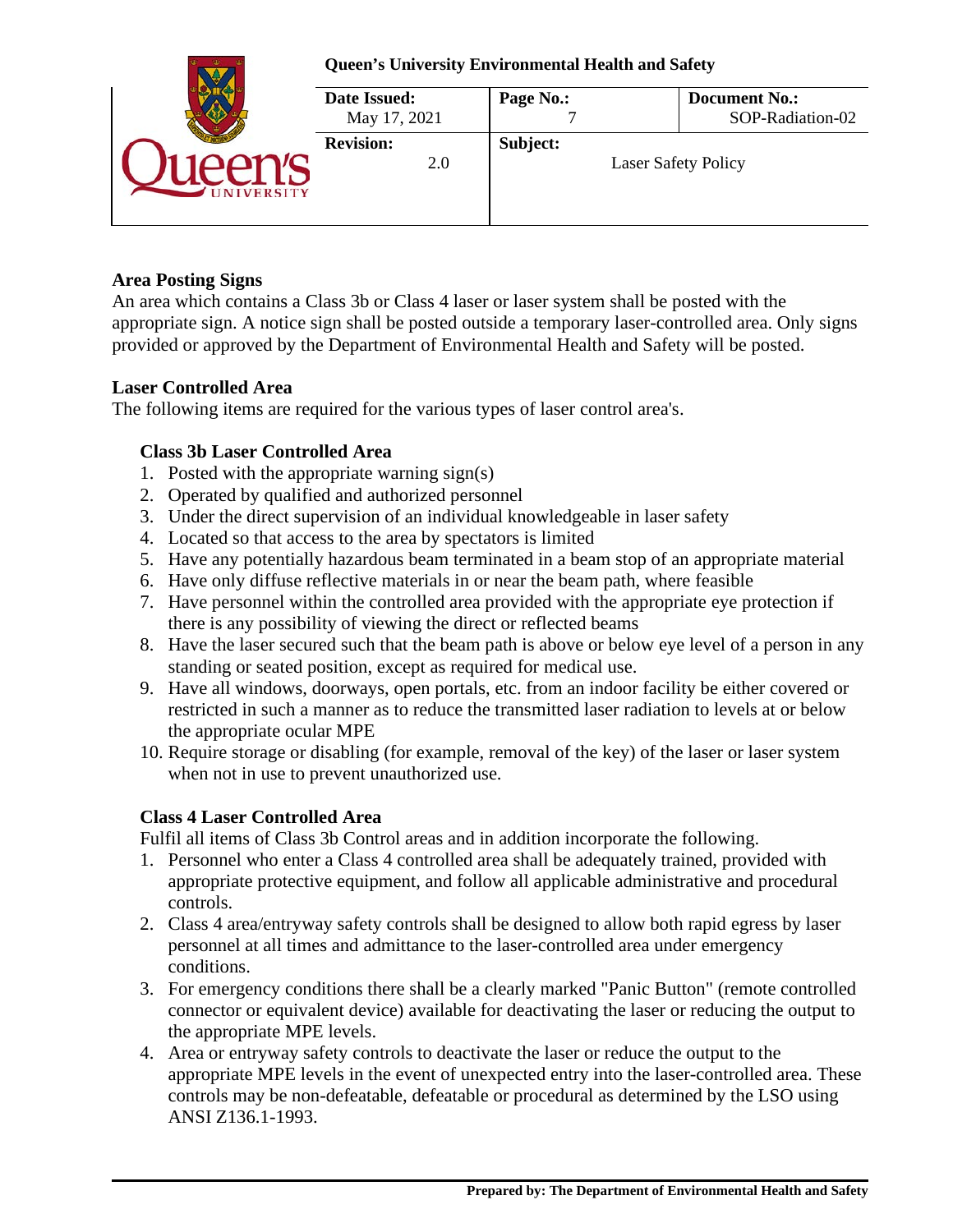|                | <b>Queen's University Environmental Health and Safety</b> |           |                                          |  |  |
|----------------|-----------------------------------------------------------|-----------|------------------------------------------|--|--|
|                | Date Issued:<br>May 17, 2021                              | Page No.: | <b>Document No.:</b><br>SOP-Radiation-02 |  |  |
| <b>VERSITY</b> | <b>Revision:</b><br>2.0                                   | Subject:  | <b>Laser Safety Policy</b>               |  |  |

### **Area Posting Signs**

An area which contains a Class 3b or Class 4 laser or laser system shall be posted with the appropriate sign. A notice sign shall be posted outside a temporary laser-controlled area. Only signs provided or approved by the Department of Environmental Health and Safety will be posted.

### **Laser Controlled Area**

The following items are required for the various types of laser control area's.

# **Class 3b Laser Controlled Area**

- 1. Posted with the appropriate warning sign(s)
- 2. Operated by qualified and authorized personnel
- 3. Under the direct supervision of an individual knowledgeable in laser safety
- 4. Located so that access to the area by spectators is limited
- 5. Have any potentially hazardous beam terminated in a beam stop of an appropriate material
- 6. Have only diffuse reflective materials in or near the beam path, where feasible
- 7. Have personnel within the controlled area provided with the appropriate eye protection if there is any possibility of viewing the direct or reflected beams
- 8. Have the laser secured such that the beam path is above or below eye level of a person in any standing or seated position, except as required for medical use.
- 9. Have all windows, doorways, open portals, etc. from an indoor facility be either covered or restricted in such a manner as to reduce the transmitted laser radiation to levels at or below the appropriate ocular MPE
- 10. Require storage or disabling (for example, removal of the key) of the laser or laser system when not in use to prevent unauthorized use.

# **Class 4 Laser Controlled Area**

Fulfil all items of Class 3b Control areas and in addition incorporate the following.

- 1. Personnel who enter a Class 4 controlled area shall be adequately trained, provided with appropriate protective equipment, and follow all applicable administrative and procedural controls.
- 2. Class 4 area/entryway safety controls shall be designed to allow both rapid egress by laser personnel at all times and admittance to the laser-controlled area under emergency conditions.
- 3. For emergency conditions there shall be a clearly marked "Panic Button" (remote controlled connector or equivalent device) available for deactivating the laser or reducing the output to the appropriate MPE levels.
- 4. Area or entryway safety controls to deactivate the laser or reduce the output to the appropriate MPE levels in the event of unexpected entry into the laser-controlled area. These controls may be non-defeatable, defeatable or procedural as determined by the LSO using ANSI Z136.1-1993.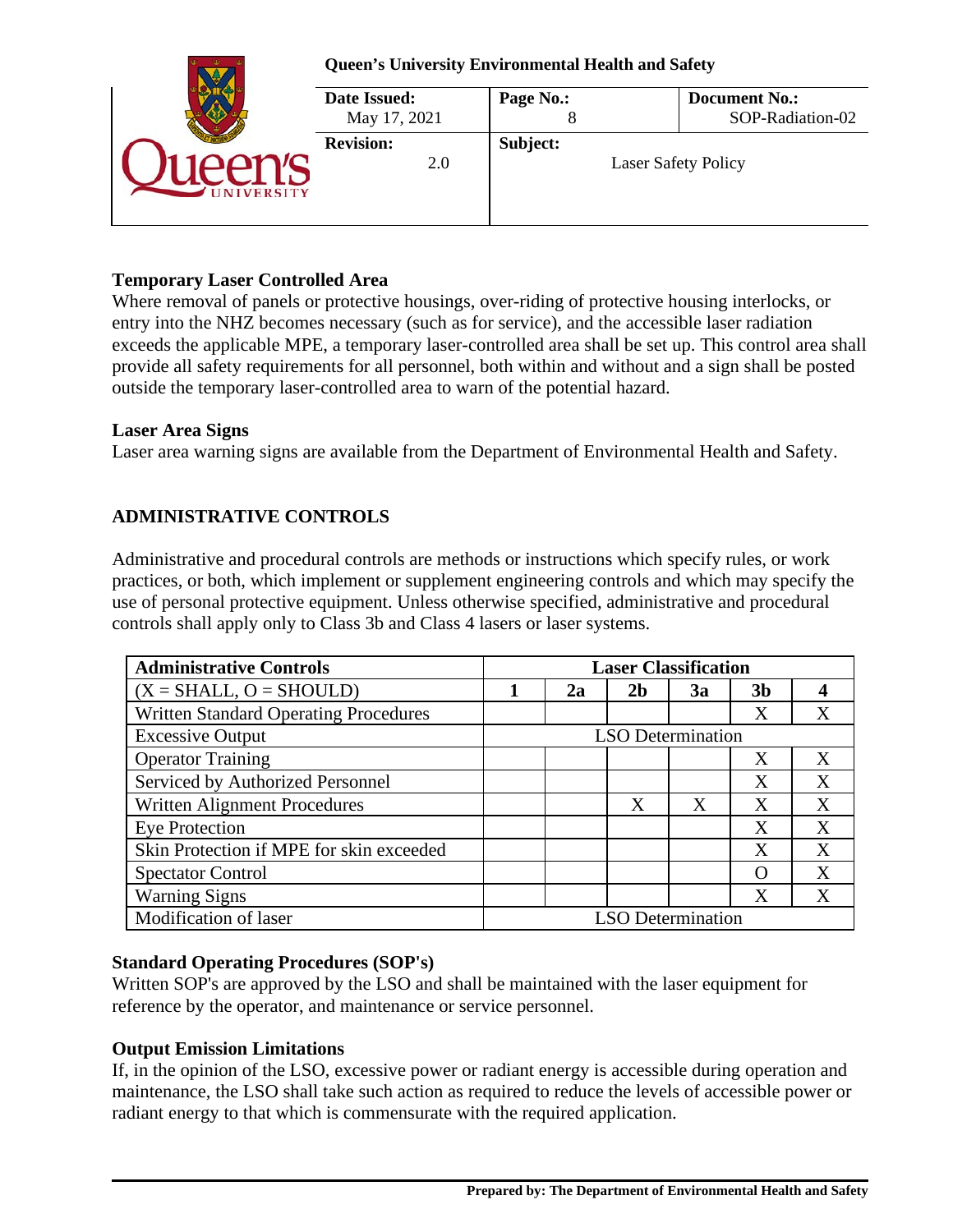| <b>Queen's University Environmental Health and Safety</b> |                |                                          |  |  |
|-----------------------------------------------------------|----------------|------------------------------------------|--|--|
| Date Issued:<br>May 17, 2021                              | Page No.:<br>Õ | <b>Document No.:</b><br>SOP-Radiation-02 |  |  |
| <b>Revision:</b><br>2.0                                   | Subject:       | <b>Laser Safety Policy</b>               |  |  |

# **Temporary Laser Controlled Area**

Where removal of panels or protective housings, over-riding of protective housing interlocks, or entry into the NHZ becomes necessary (such as for service), and the accessible laser radiation exceeds the applicable MPE, a temporary laser-controlled area shall be set up. This control area shall provide all safety requirements for all personnel, both within and without and a sign shall be posted outside the temporary laser-controlled area to warn of the potential hazard.

### **Laser Area Signs**

Laser area warning signs are available from the Department of Environmental Health and Safety.

# **ADMINISTRATIVE CONTROLS**

Administrative and procedural controls are methods or instructions which specify rules, or work practices, or both, which implement or supplement engineering controls and which may specify the use of personal protective equipment. Unless otherwise specified, administrative and procedural controls shall apply only to Class 3b and Class 4 lasers or laser systems.

| <b>Administrative Controls</b>               | <b>Laser Classification</b> |                          |                |    |                |   |
|----------------------------------------------|-----------------------------|--------------------------|----------------|----|----------------|---|
| $(X = SHALL, O = SHOULD)$                    |                             | 2a                       | 2 <sub>b</sub> | 3a | 3 <sub>b</sub> | 4 |
| <b>Written Standard Operating Procedures</b> |                             |                          |                |    | Χ              | X |
| <b>Excessive Output</b>                      |                             | <b>LSO</b> Determination |                |    |                |   |
| <b>Operator Training</b>                     |                             |                          |                |    | X              | X |
| Serviced by Authorized Personnel             |                             |                          |                |    | X              | X |
| Written Alignment Procedures                 |                             |                          | X              | X  | X              | X |
| <b>Eye Protection</b>                        |                             |                          |                |    | X              | X |
| Skin Protection if MPE for skin exceeded     |                             |                          |                |    | X              | X |
| <b>Spectator Control</b>                     |                             |                          |                |    |                | X |
| <b>Warning Signs</b>                         |                             |                          |                |    | X              | X |
| Modification of laser                        | <b>LSO</b> Determination    |                          |                |    |                |   |

# **Standard Operating Procedures (SOP's)**

Written SOP's are approved by the LSO and shall be maintained with the laser equipment for reference by the operator, and maintenance or service personnel.

# **Output Emission Limitations**

If, in the opinion of the LSO, excessive power or radiant energy is accessible during operation and maintenance, the LSO shall take such action as required to reduce the levels of accessible power or radiant energy to that which is commensurate with the required application.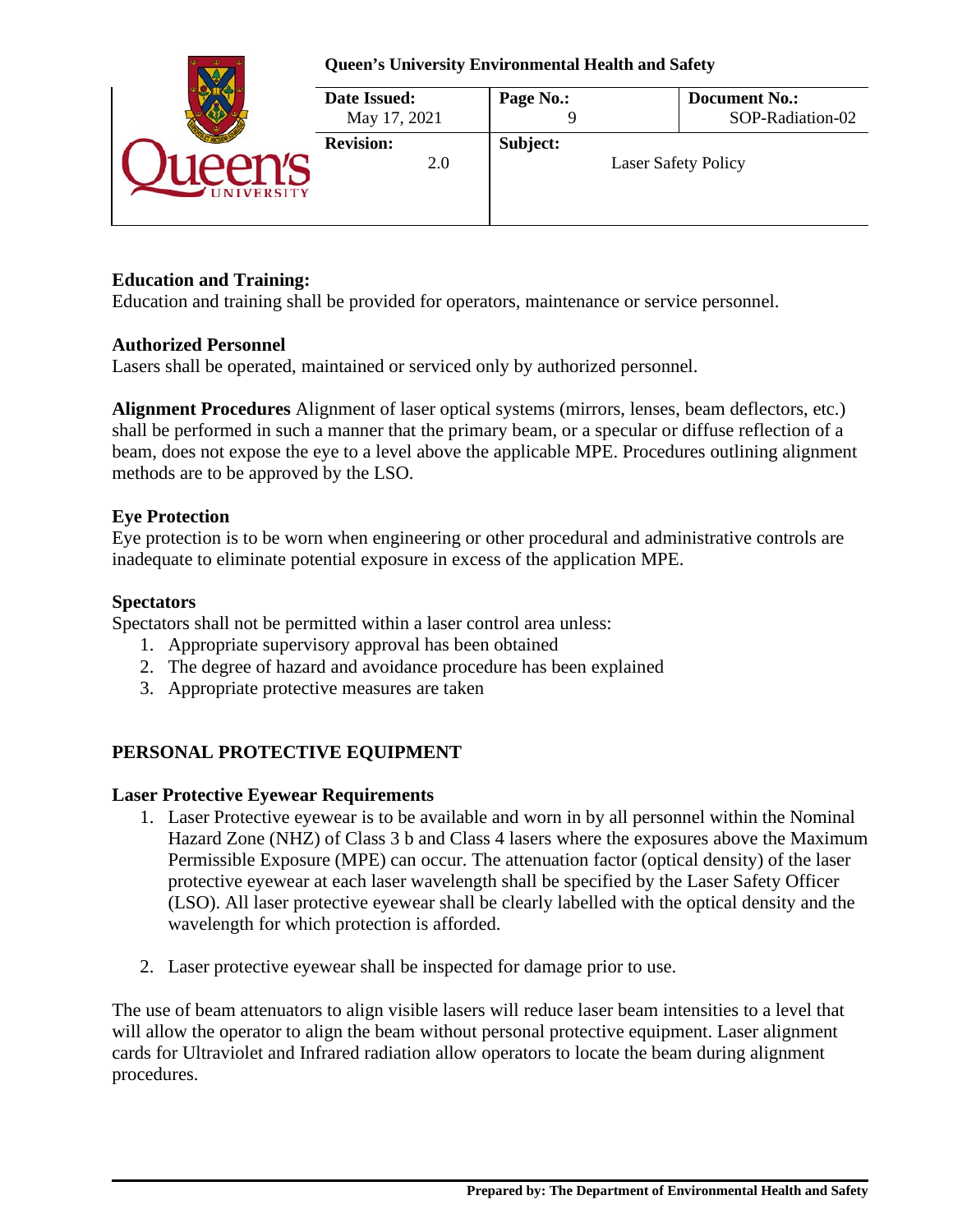

# **Education and Training:**

Education and training shall be provided for operators, maintenance or service personnel.

### **Authorized Personnel**

Lasers shall be operated, maintained or serviced only by authorized personnel.

**Alignment Procedures** Alignment of laser optical systems (mirrors, lenses, beam deflectors, etc.) shall be performed in such a manner that the primary beam, or a specular or diffuse reflection of a beam, does not expose the eye to a level above the applicable MPE. Procedures outlining alignment methods are to be approved by the LSO.

### **Eye Protection**

Eye protection is to be worn when engineering or other procedural and administrative controls are inadequate to eliminate potential exposure in excess of the application MPE.

### **Spectators**

Spectators shall not be permitted within a laser control area unless:

- 1. Appropriate supervisory approval has been obtained
- 2. The degree of hazard and avoidance procedure has been explained
- 3. Appropriate protective measures are taken

# **PERSONAL PROTECTIVE EQUIPMENT**

### **Laser Protective Eyewear Requirements**

- 1. Laser Protective eyewear is to be available and worn in by all personnel within the Nominal Hazard Zone (NHZ) of Class 3 b and Class 4 lasers where the exposures above the Maximum Permissible Exposure (MPE) can occur. The attenuation factor (optical density) of the laser protective eyewear at each laser wavelength shall be specified by the Laser Safety Officer (LSO). All laser protective eyewear shall be clearly labelled with the optical density and the wavelength for which protection is afforded.
- 2. Laser protective eyewear shall be inspected for damage prior to use.

The use of beam attenuators to align visible lasers will reduce laser beam intensities to a level that will allow the operator to align the beam without personal protective equipment. Laser alignment cards for Ultraviolet and Infrared radiation allow operators to locate the beam during alignment procedures.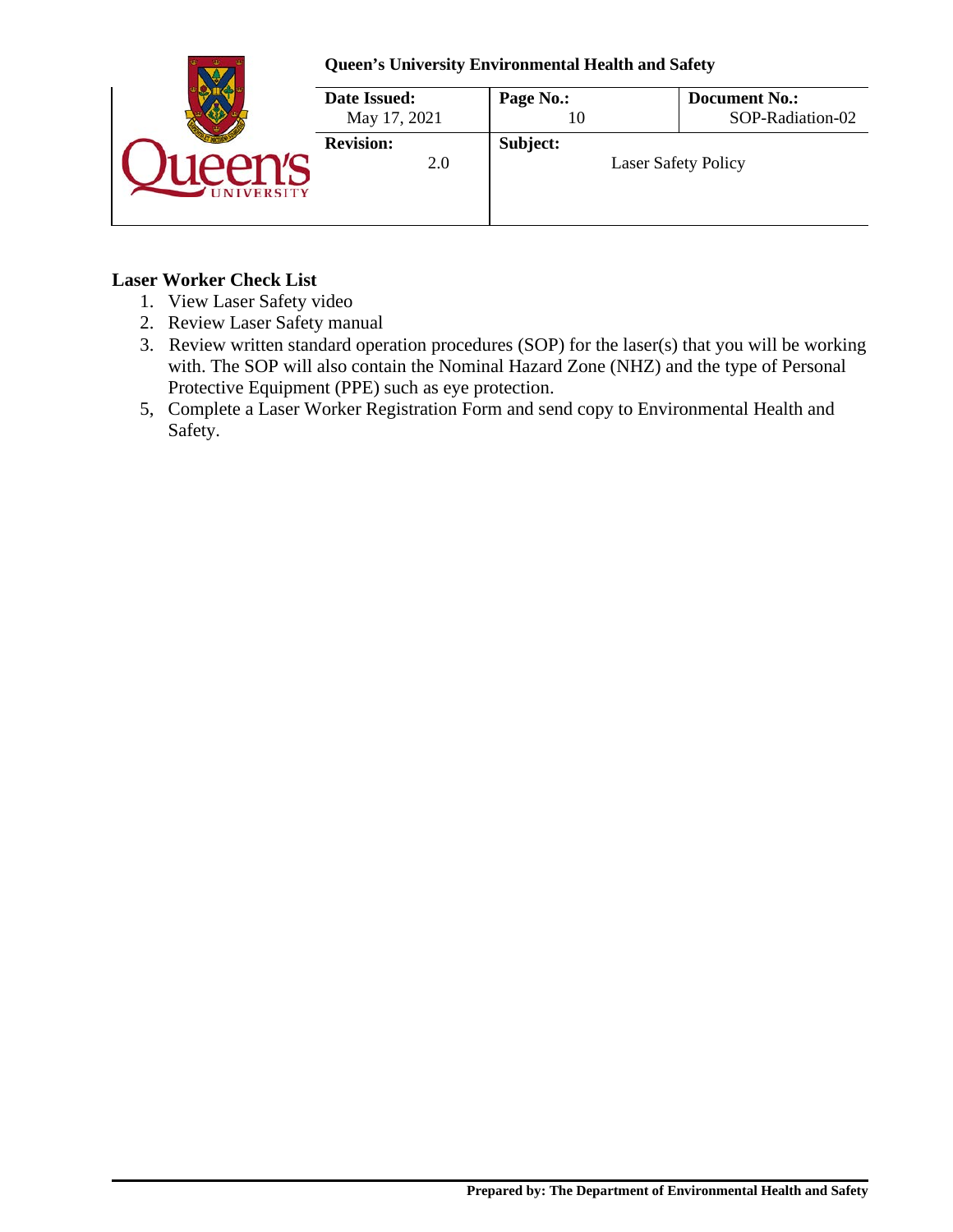

### **Laser Worker Check List**

- 1. View Laser Safety video
- 2. Review Laser Safety manual
- 3. Review written standard operation procedures (SOP) for the laser(s) that you will be working with. The SOP will also contain the Nominal Hazard Zone (NHZ) and the type of Personal Protective Equipment (PPE) such as eye protection.
- 5, Complete a Laser Worker Registration Form and send copy to Environmental Health and Safety.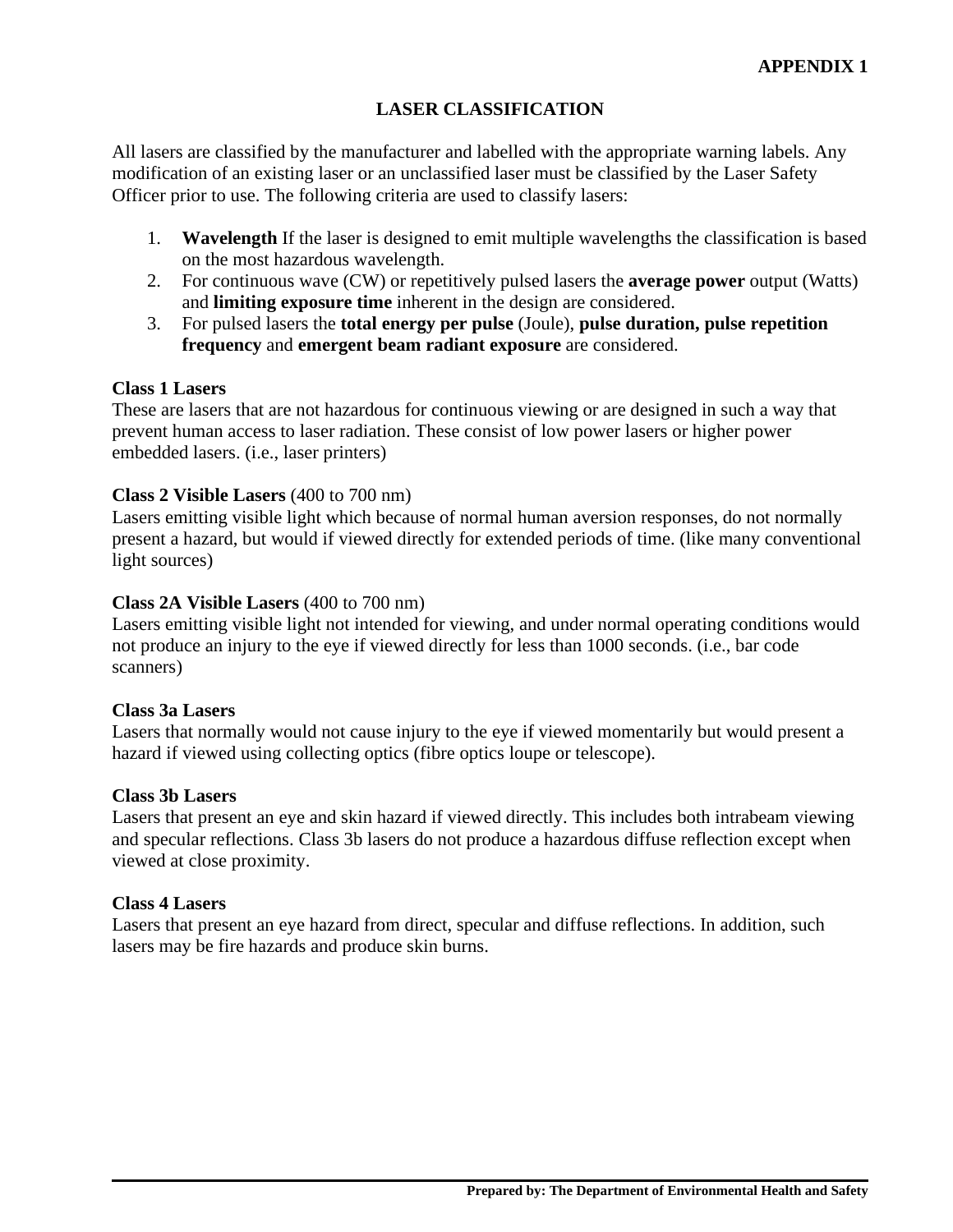# **LASER CLASSIFICATION**

All lasers are classified by the manufacturer and labelled with the appropriate warning labels. Any modification of an existing laser or an unclassified laser must be classified by the Laser Safety Officer prior to use. The following criteria are used to classify lasers:

- 1. **Wavelength** If the laser is designed to emit multiple wavelengths the classification is based on the most hazardous wavelength.
- 2. For continuous wave (CW) or repetitively pulsed lasers the **average power** output (Watts) and **limiting exposure time** inherent in the design are considered.
- 3. For pulsed lasers the **total energy per pulse** (Joule), **pulse duration, pulse repetition frequency** and **emergent beam radiant exposure** are considered.

# **Class 1 Lasers**

These are lasers that are not hazardous for continuous viewing or are designed in such a way that prevent human access to laser radiation. These consist of low power lasers or higher power embedded lasers. (i.e., laser printers)

# **Class 2 Visible Lasers** (400 to 700 nm)

Lasers emitting visible light which because of normal human aversion responses, do not normally present a hazard, but would if viewed directly for extended periods of time. (like many conventional light sources)

### **Class 2A Visible Lasers** (400 to 700 nm)

Lasers emitting visible light not intended for viewing, and under normal operating conditions would not produce an injury to the eye if viewed directly for less than 1000 seconds. (i.e., bar code scanners)

### **Class 3a Lasers**

Lasers that normally would not cause injury to the eye if viewed momentarily but would present a hazard if viewed using collecting optics (fibre optics loupe or telescope).

### **Class 3b Lasers**

Lasers that present an eye and skin hazard if viewed directly. This includes both intrabeam viewing and specular reflections. Class 3b lasers do not produce a hazardous diffuse reflection except when viewed at close proximity.

### **Class 4 Lasers**

Lasers that present an eye hazard from direct, specular and diffuse reflections. In addition, such lasers may be fire hazards and produce skin burns.